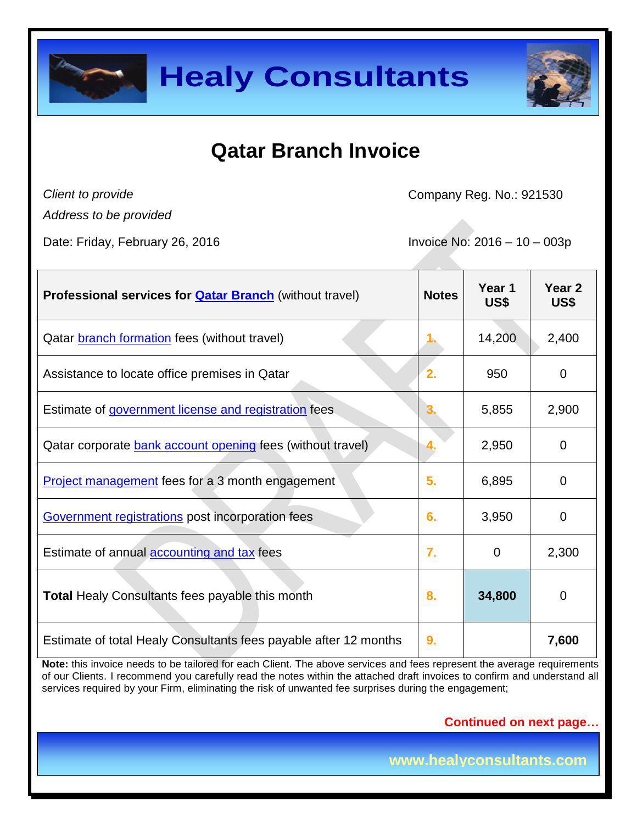



### **Qatar Branch Invoice**

*Client to provide Address to be provided* Company Reg. No.: 921530

Date: Friday, February 26, 2016 **Invoice No: 2016** - 10 – 003p

| <b>Professional services for <b>Qatar Branch</b> (without travel)</b> | <b>Notes</b> | Year 1<br>US\$ | Year <sub>2</sub><br>US\$ |
|-----------------------------------------------------------------------|--------------|----------------|---------------------------|
| Qatar <b>branch formation</b> fees (without travel)                   |              | 14,200         | 2,400                     |
| Assistance to locate office premises in Qatar                         | $\mathbf{2}$ | 950            | $\mathbf 0$               |
| Estimate of government license and registration fees                  | 3            | 5,855          | 2,900                     |
| Qatar corporate bank account opening fees (without travel)            | 4.           | 2,950          | $\mathbf 0$               |
| <b>Project management fees for a 3 month engagement</b>               | 5.           | 6,895          | $\overline{0}$            |
| Government registrations post incorporation fees                      | 6.           | 3,950          | $\overline{0}$            |
| Estimate of annual <b>accounting and tax</b> fees                     | 7.           | $\mathbf 0$    | 2,300                     |
| <b>Total Healy Consultants fees payable this month</b>                | 8.           | 34,800         | 0                         |
| Estimate of total Healy Consultants fees payable after 12 months      | 9.           |                | 7,600                     |

**Note:** this invoice needs to be tailored for each Client. The above services and fees represent the average requirements of our Clients. I recommend you carefully read the notes within the attached draft invoices to confirm and understand all services required by your Firm, eliminating the risk of unwanted fee surprises during the engagement;

**Continued on next page…**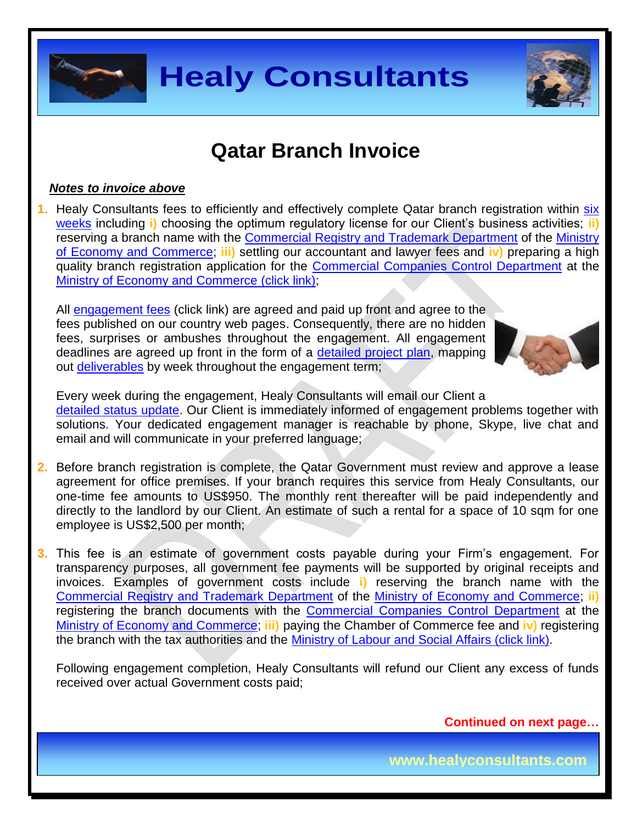

### **Qatar Branch Invoice**

#### *Notes to invoice above*

**1.** Healy Consultants fees to efficiently and effectively complete Qatar branch registration within [six](http://www.healyconsultants.com/qatar-company-registration/business-entity-types/) [weeks](http://www.healyconsultants.com/qatar-company-registration/business-entity-types/) including **i)** choosing the optimum regulatory license for our Client's business activities; **ii)** reserving a branch name with the [Commercial Registry and Trademark Department](http://www.mec.gov.qa/en/departments/administration_Trade/registration-and-license-business) of the [Ministry](http://www.mec.gov.qa/en/)  [of Economy and Commerce;](http://www.mec.gov.qa/en/) **iii)** settling our accountant and lawyer fees and **iv)** preparing a high quality branch registration application for the [Commercial Companies Control Department](http://www.mec.gov.qa/en/departments/administration_Trade/companies-control) at the [Ministry of Economy and Commerce \(click link\);](http://www.mec.gov.qa/English/Pages/Home.aspx)

All [engagement fees](http://www.healyconsultants.com/company-registration-fees/) (click link) are agreed and paid up front and agree to the fees published on our country web pages. Consequently, there are no hidden fees, surprises or ambushes throughout the engagement. All engagement deadlines are agreed up front in the form of a [detailed project plan,](http://www.healyconsultants.com/index-important-links/example-project-plan/) mapping out [deliverables](http://www.healyconsultants.com/deliverables-to-our-clients/) by week throughout the engagement term;



Every week during the engagement, Healy Consultants will email our Client a [detailed status update.](http://www.healyconsultants.com/index-important-links/weekly-engagement-status-email/) Our Client is immediately informed of engagement problems together with solutions. Your dedicated engagement manager is reachable by phone, Skype, live chat and email and will communicate in your preferred language;

- **2.** Before branch registration is complete, the Qatar Government must review and approve a lease agreement for office premises. If your branch requires this service from Healy Consultants, our one-time fee amounts to US\$950. The monthly rent thereafter will be paid independently and directly to the landlord by our Client. An estimate of such a rental for a space of 10 sqm for one employee is US\$2,500 per month;
- **3.** This fee is an estimate of government costs payable during your Firm's engagement. For transparency purposes, all government fee payments will be supported by original receipts and invoices. Examples of government costs include **i)** reserving the branch name with the [Commercial Registry and Trademark Department](http://www.mec.gov.qa/en/departments/administration_Trade/registration-and-license-business) of the [Ministry of Economy and Commerce;](http://www.mec.gov.qa/en/) **ii)** registering the branch documents with the [Commercial Companies Control Department](http://www.mec.gov.qa/en/departments/administration_Trade/companies-control) at the [Ministry of Economy and Commerce;](http://www.mec.gov.qa/English/Pages/Home.aspx) **iii)** paying the Chamber of Commerce fee and **iv)** registering the branch with the tax authorities and the [Ministry of Labour and Social Affairs \(click link\).](http://www.mol.gov.qa/)

Following engagement completion, Healy Consultants will refund our Client any excess of funds received over actual Government costs paid;

**Continued on next page…**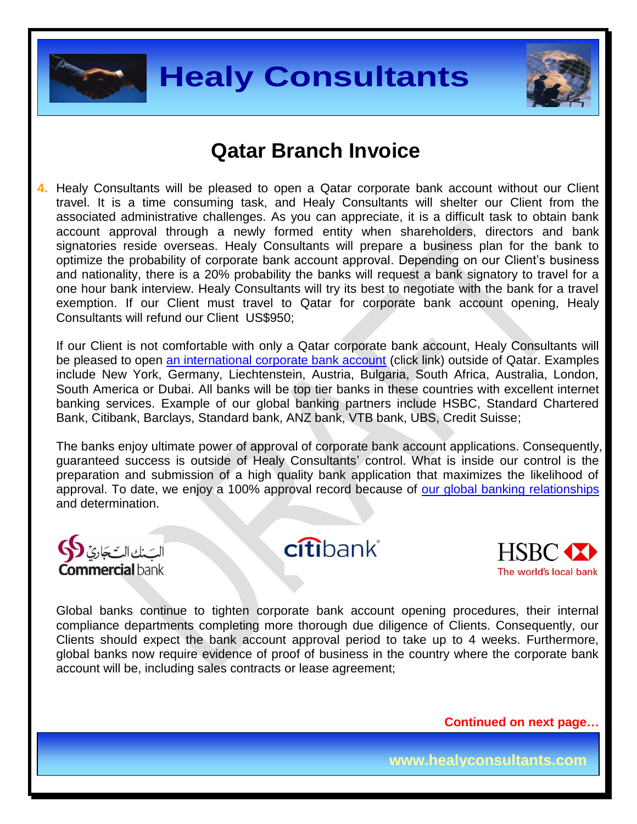



#### **Qatar Branch Invoice**

**4.** Healy Consultants will be pleased to open a Qatar corporate bank account without our Client travel. It is a time consuming task, and Healy Consultants will shelter our Client from the associated administrative challenges. As you can appreciate, it is a difficult task to obtain bank account approval through a newly formed entity when shareholders, directors and bank signatories reside overseas. Healy Consultants will prepare a business plan for the bank to optimize the probability of corporate bank account approval. Depending on our Client's business and nationality, there is a 20% probability the banks will request a bank signatory to travel for a one hour bank interview. Healy Consultants will try its best to negotiate with the bank for a travel exemption. If our Client must travel to Qatar for corporate bank account opening, Healy Consultants will refund our Client US\$950;

If our Client is not comfortable with only a Qatar corporate bank account, Healy Consultants will be pleased to open [an international corporate bank account](http://www.healyconsultants.com/international-banking/) (click link) outside of Qatar. Examples include New York, Germany, Liechtenstein, Austria, Bulgaria, South Africa, Australia, London, South America or Dubai. All banks will be top tier banks in these countries with excellent internet banking services. Example of our global banking partners include HSBC, Standard Chartered Bank, Citibank, Barclays, Standard bank, ANZ bank, VTB bank, UBS, Credit Suisse;

The banks enjoy ultimate power of approval of corporate bank account applications. Consequently, guaranteed success is outside of Healy Consultants' control. What is inside our control is the preparation and submission of a high quality bank application that maximizes the likelihood of approval. To date, we enjoy a 100% approval record because of [our global banking relationships](http://www.healyconsultants.com/international-banking/corporate-accounts/) and determination.



citibank®



Global banks continue to tighten corporate bank account opening procedures, their internal compliance departments completing more thorough due diligence of Clients. Consequently, our Clients should expect the bank account approval period to take up to 4 weeks. Furthermore, global banks now require evidence of proof of business in the country where the corporate bank account will be, including sales contracts or lease agreement;

**Continued on next page…**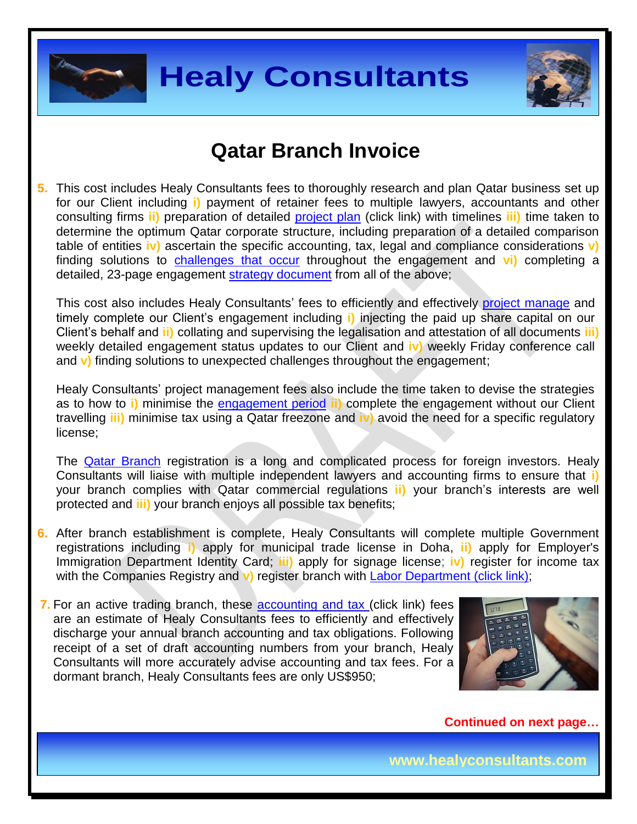



#### **Qatar Branch Invoice**

**5.** This cost includes Healy Consultants fees to thoroughly research and plan Qatar business set up for our Client including **i)** payment of retainer fees to multiple lawyers, accountants and other consulting firms **ii)** preparation of detailed [project plan](http://www.healyconsultants.com/index-important-links/example-project-plan/) (click link) with timelines **iii)** time taken to determine the optimum Qatar corporate structure, including preparation of a detailed comparison table of entities **iv)** ascertain the specific accounting, tax, legal and compliance considerations **v)** finding solutions to [challenges that occur](http://www.healyconsultants.com/engagement-project-management/) throughout the engagement and **vi)** completing a detailed, 23-page engagement [strategy document](http://www.healyconsultants.com/engagement-strategy/) from all of the above;

This cost also includes Healy Consultants' fees to efficiently and effectively [project manage](http://www.healyconsultants.com/project-manage-engagements/) and timely complete our Client's engagement including **i)** injecting the paid up share capital on our Client's behalf and **ii)** collating and supervising the legalisation and attestation of all documents **iii)**  weekly detailed engagement status updates to our Client and **iv)** weekly Friday conference call and **v)** finding solutions to unexpected challenges throughout the engagement;

Healy Consultants' project management fees also include the time taken to devise the strategies as to how to **i)** minimise the [engagement period](http://www.healyconsultants.com/qatar-company-registration/fees-timelines/#timelines) **ii)** complete the engagement without our Client travelling **iii)** minimise tax using a Qatar freezone and **iv)** avoid the need for a specific regulatory license;

The [Qatar Branch](http://www.healyconsultants.com/qatar-company-registration/) registration is a long and complicated process for foreign investors. Healy Consultants will liaise with multiple independent lawyers and accounting firms to ensure that **i)** your branch complies with Qatar commercial regulations **ii)** your branch's interests are well protected and **iii)** your branch enjoys all possible tax benefits;

**6.** After branch establishment is complete, Healy Consultants will complete multiple Government registrations including **i)** apply for municipal trade license in Doha, **ii)** apply for Employer's Immigration Department Identity Card; **iii)** apply for signage license; **iv)** register for income tax with the Companies Registry and **v**) register branch with [Labor Department \(click link\);](http://www.mol.gov.qa/)

**7.** For an active trading branch, these [accounting and tax](http://www.healyconsultants.com/qatar-company-registration/accounting-legal/) (click link) fees are an estimate of Healy Consultants fees to efficiently and effectively discharge your annual branch accounting and tax obligations. Following receipt of a set of draft accounting numbers from your branch, Healy Consultants will more accurately advise accounting and tax fees. For a dormant branch, Healy Consultants fees are only US\$950;



**Continued on next page…**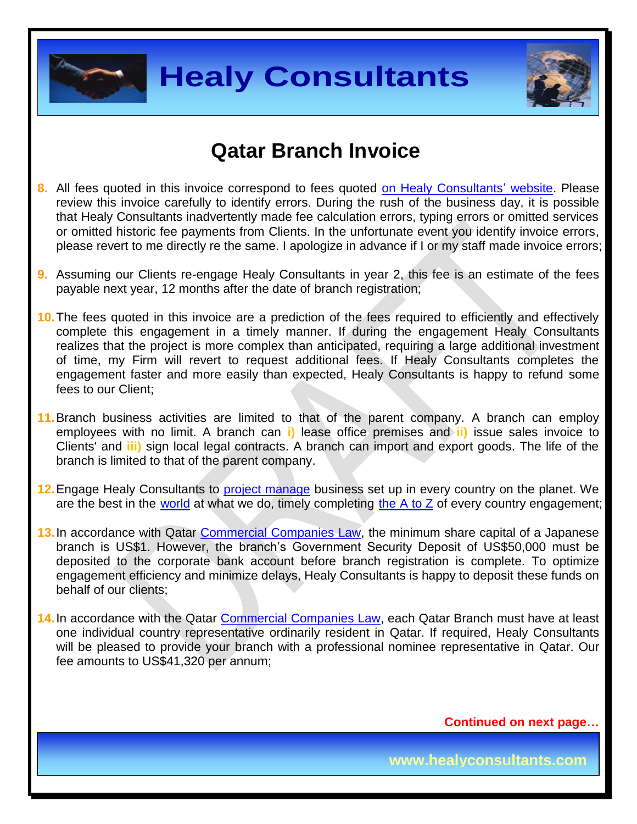



#### **Qatar Branch Invoice**

- **8.** All fees quoted in this invoice correspond to fees quoted [on Healy Consultants' website.](http://www.healyconsultants.com/company-registration-fees/) Please review this invoice carefully to identify errors. During the rush of the business day, it is possible that Healy Consultants inadvertently made fee calculation errors, typing errors or omitted services or omitted historic fee payments from Clients. In the unfortunate event you identify invoice errors, please revert to me directly re the same. I apologize in advance if I or my staff made invoice errors;
- **9.** Assuming our Clients re-engage Healy Consultants in year 2, this fee is an estimate of the fees payable next year, 12 months after the date of branch registration;
- **10.**The fees quoted in this invoice are a prediction of the fees required to efficiently and effectively complete this engagement in a timely manner. If during the engagement Healy Consultants realizes that the project is more complex than anticipated, requiring a large additional investment of time, my Firm will revert to request additional fees. If Healy Consultants completes the engagement faster and more easily than expected, Healy Consultants is happy to refund some fees to our Client;
- **11.**Branch business activities are limited to that of the parent company. A branch can employ employees with no limit. A branch can **i)** lease office premises and **ii)** issue sales invoice to Clients' and **iii)** sign local legal contracts. A branch can import and export goods. The life of the branch is limited to that of the parent company.
- **12.**Engage Healy Consultants to [project manage](http://www.healyconsultants.com/project-manage-engagements/) business set up in every country on the planet. We are the best in the [world](http://www.healyconsultants.com/best-in-the-world/) at what we do, timely completing the  $A$  to  $Z$  of every country engagement;
- **13.**In accordance with Qatar [Commercial Companies Law,](http://www.qcb.gov.qa/English/Documents/QCB%20Law/Commercial_companies_law_En.pdf) the minimum share capital of a Japanese branch is US\$1. However, the branch's Government Security Deposit of US\$50,000 must be deposited to the corporate bank account before branch registration is complete. To optimize engagement efficiency and minimize delays, Healy Consultants is happy to deposit these funds on behalf of our clients;
- **14.**In accordance with the Qatar [Commercial Companies Law,](http://www.qcb.gov.qa/English/Documents/QCB%20Law/Commercial_companies_law_En.pdf) each Qatar Branch must have at least one individual country representative ordinarily resident in Qatar. If required, Healy Consultants will be pleased to provide your branch with a professional nominee representative in Qatar. Our fee amounts to US\$41,320 per annum;

**Continued on next page…**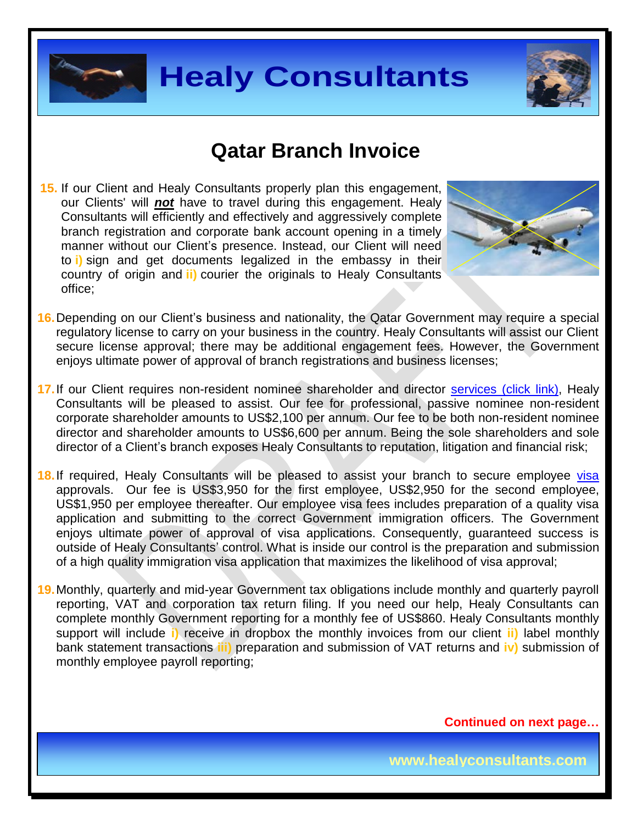



#### **Qatar Branch Invoice**

**15.** If our Client and Healy Consultants properly plan this engagement, our Clients' will *not* have to travel during this engagement. Healy Consultants will efficiently and effectively and aggressively complete branch registration and corporate bank account opening in a timely manner without our Client's presence. Instead, our Client will need to **i)** sign and get documents legalized in the embassy in their country of origin and **ii)** courier the originals to Healy Consultants office;



- **16.** Depending on our Client's business and nationality, the Qatar Government may require a special regulatory license to carry on your business in the country. Healy Consultants will assist our Client secure license approval; there may be additional engagement fees. However, the Government enjoys ultimate power of approval of branch registrations and business licenses;
- **17.** If our Client requires non-resident nominee shareholder and director services [\(click link\),](http://www.healyconsultants.com/corporate-outsourcing-services/nominee-shareholders-directors/) Healy Consultants will be pleased to assist. Our fee for professional, passive nominee non-resident corporate shareholder amounts to US\$2,100 per annum. Our fee to be both non-resident nominee director and shareholder amounts to US\$6,600 per annum. Being the sole shareholders and sole director of a Client's branch exposes Healy Consultants to reputation, litigation and financial risk;
- 18. If required, Healy Consultants will be pleased to assist your branch to secure employee [visa](http://www.healyconsultants.com/qatar-company-registration/employment-visas/) approvals. Our fee is US\$3,950 for the first employee, US\$2,950 for the second employee, US\$1,950 per employee thereafter. Our employee visa fees includes preparation of a quality visa application and submitting to the correct Government immigration officers. The Government enjoys ultimate power of approval of visa applications. Consequently, guaranteed success is outside of Healy Consultants' control. What is inside our control is the preparation and submission of a high quality immigration visa application that maximizes the likelihood of visa approval;
- **19.** Monthly, quarterly and mid-year Government tax obligations include monthly and quarterly payroll reporting, VAT and corporation tax return filing. If you need our help, Healy Consultants can complete monthly Government reporting for a monthly fee of US\$860. Healy Consultants monthly support will include **i)** receive in dropbox the monthly invoices from our client **ii)** label monthly bank statement transactions **iii)** preparation and submission of VAT returns and **iv)** submission of monthly employee payroll reporting;

**Continued on next page…**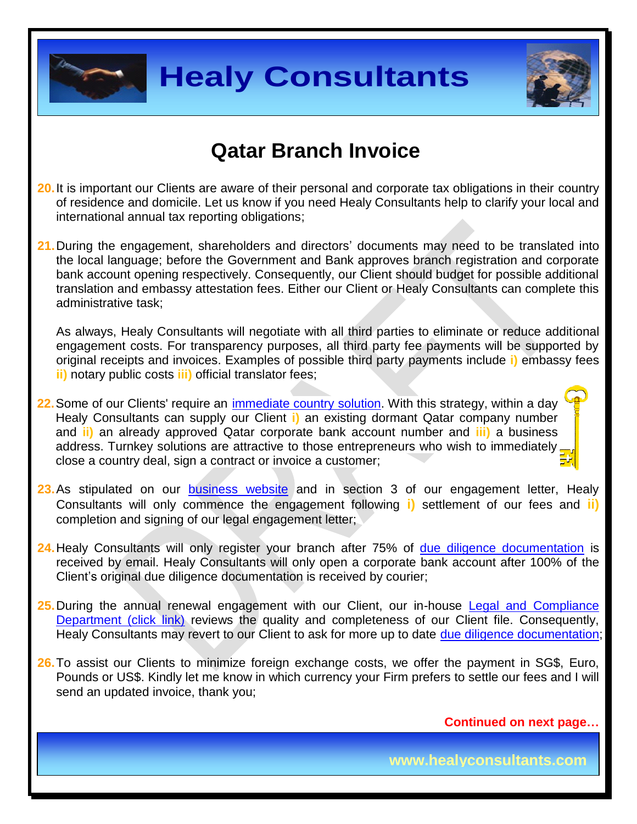



### **Qatar Branch Invoice**

- **20.** It is important our Clients are aware of their personal and corporate tax obligations in their country of residence and domicile. Let us know if you need Healy Consultants help to clarify your local and international annual tax reporting obligations;
- 21. During the engagement, shareholders and directors' documents may need to be translated into the local language; before the Government and Bank approves branch registration and corporate bank account opening respectively. Consequently, our Client should budget for possible additional translation and embassy attestation fees. Either our Client or Healy Consultants can complete this administrative task;

As always, Healy Consultants will negotiate with all third parties to eliminate or reduce additional engagement costs. For transparency purposes, all third party fee payments will be supported by original receipts and invoices. Examples of possible third party payments include **i)** embassy fees **ii)** notary public costs **iii)** official translator fees;

- **22.**Some of our Clients' require an [immediate country solution.](http://www.healyconsultants.com/turnkey-solutions/) With this strategy, within a day Healy Consultants can supply our Client **i)** an existing dormant Qatar company number and **ii)** an already approved Qatar corporate bank account number and **iii)** a business address. Turnkey solutions are attractive to those entrepreneurs who wish to immediately close a country deal, sign a contract or invoice a customer;
- **23.** As stipulated on our **[business website](http://www.healyconsultants.com/)** and in section 3 of our engagement letter, Healy Consultants will only commence the engagement following **i)** settlement of our fees and **ii)** completion and signing of our legal engagement letter;
- **24.** Healy Consultants will only register your branch after 75% of [due diligence documentation](http://www.healyconsultants.com/due-diligence/) is received by email. Healy Consultants will only open a corporate bank account after 100% of the Client's original due diligence documentation is received by courier;
- **25.** During the annual renewal engagement with our Client, our in-house [Legal and Compliance](http://www.healyconsultants.com/about-us/key-personnel/cai-xin-profile/)  [Department \(click link\)](http://www.healyconsultants.com/about-us/key-personnel/cai-xin-profile/) reviews the quality and completeness of our Client file. Consequently, Healy Consultants may revert to our Client to ask for more up to date [due diligence documentation;](http://www.healyconsultants.com/due-diligence/)
- **26.** To assist our Clients to minimize foreign exchange costs, we offer the payment in SG\$, Euro, Pounds or US\$. Kindly let me know in which currency your Firm prefers to settle our fees and I will send an updated invoice, thank you;

**Continued on next page…**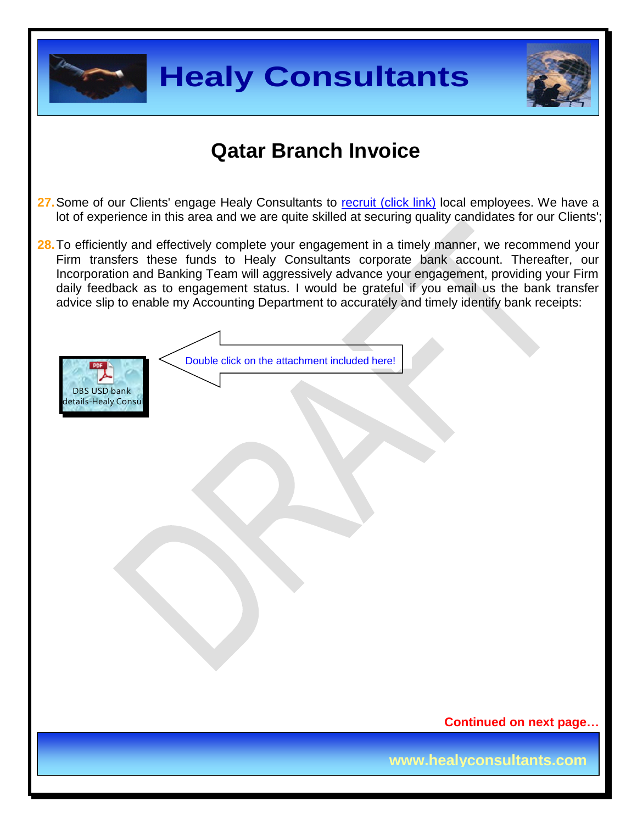



### **Qatar Branch Invoice**

- 27. Some of our Clients' engage Healy Consultants to [recruit \(click link\)](http://www.healyconsultants.com/corporate-outsourcing-services/how-we-help-our-clients-recruit-quality-employees/) local employees. We have a lot of experience in this area and we are quite skilled at securing quality candidates for our Clients';
- **28.** To efficiently and effectively complete your engagement in a timely manner, we recommend your Firm transfers these funds to Healy Consultants corporate bank account. Thereafter, our Incorporation and Banking Team will aggressively advance your engagement, providing your Firm daily feedback as to engagement status. I would be grateful if you email us the bank transfer advice slip to enable my Accounting Department to accurately and timely identify bank receipts:



Double click on the attachment included here!

**Continued on next page…**